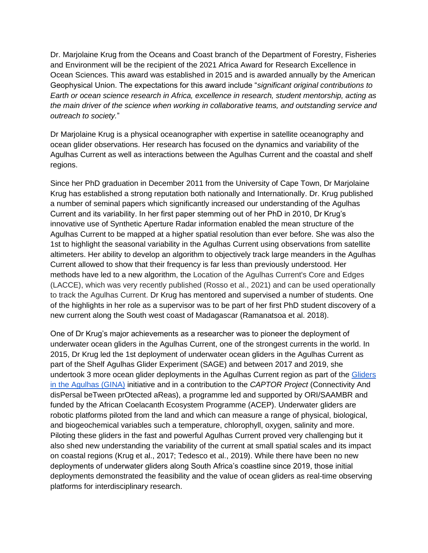Dr. Marjolaine Krug from the Oceans and Coast branch of the Department of Forestry, Fisheries and Environment will be the recipient of the 2021 Africa Award for Research Excellence in Ocean Sciences. This award was established in 2015 and is awarded annually by the American Geophysical Union. The expectations for this award include "*significant original contributions to Earth or ocean science research in Africa, excellence in research, student mentorship, acting as the main driver of the science when working in collaborative teams, and outstanding service and outreach to society.*"

Dr Marjolaine Krug is a physical oceanographer with expertise in satellite oceanography and ocean glider observations. Her research has focused on the dynamics and variability of the Agulhas Current as well as interactions between the Agulhas Current and the coastal and shelf regions.

Since her PhD graduation in December 2011 from the University of Cape Town, Dr Marjolaine Krug has established a strong reputation both nationally and Internationally. Dr. Krug published a number of seminal papers which significantly increased our understanding of the Agulhas Current and its variability. In her first paper stemming out of her PhD in 2010, Dr Krug's innovative use of Synthetic Aperture Radar information enabled the mean structure of the Agulhas Current to be mapped at a higher spatial resolution than ever before. She was also the 1st to highlight the seasonal variability in the Agulhas Current using observations from satellite altimeters. Her ability to develop an algorithm to objectively track large meanders in the Agulhas Current allowed to show that their frequency is far less than previously understood. Her methods have led to a new algorithm, the Location of the Agulhas Current's Core and Edges (LACCE), which was very recently published (Rosso et al., 2021) and can be used operationally to track the Agulhas Current. Dr Krug has mentored and supervised a number of students. One of the highlights in her role as a supervisor was to be part of her first PhD student discovery of a new current along the South west coast of Madagascar (Ramanatsoa et al. 2018).

One of Dr Krug's major achievements as a researcher was to pioneer the deployment of underwater ocean gliders in the Agulhas Current, one of the strongest currents in the world. In 2015, Dr Krug led the 1st deployment of underwater ocean gliders in the Agulhas Current as part of the Shelf Agulhas Glider Experiment (SAGE) and between 2017 and 2019, she undertook 3 more ocean glider deployments in the Agulhas Current region as part of the Gliders [in the Agulhas \(GINA\)](https://eos.org/science-updates/ocean-gliders-ride-the-research-wave-in-the-agulhas-current) initiative and in a contribution to the *CAPTOR Project* (Connectivity And disPersal beTween prOtected aReas), a programme led and supported by ORI/SAAMBR and funded by the African Coelacanth Ecosystem Programme (ACEP). Underwater gliders are robotic platforms piloted from the land and which can measure a range of physical, biological, and biogeochemical variables such a temperature, chlorophyll, oxygen, salinity and more. Piloting these gliders in the fast and powerful Agulhas Current proved very challenging but it also shed new understanding the variability of the current at small spatial scales and its impact on coastal regions (Krug et al., 2017; Tedesco et al., 2019). While there have been no new deployments of underwater gliders along South Africa's coastline since 2019, those initial deployments demonstrated the feasibility and the value of ocean gliders as real-time observing platforms for interdisciplinary research.